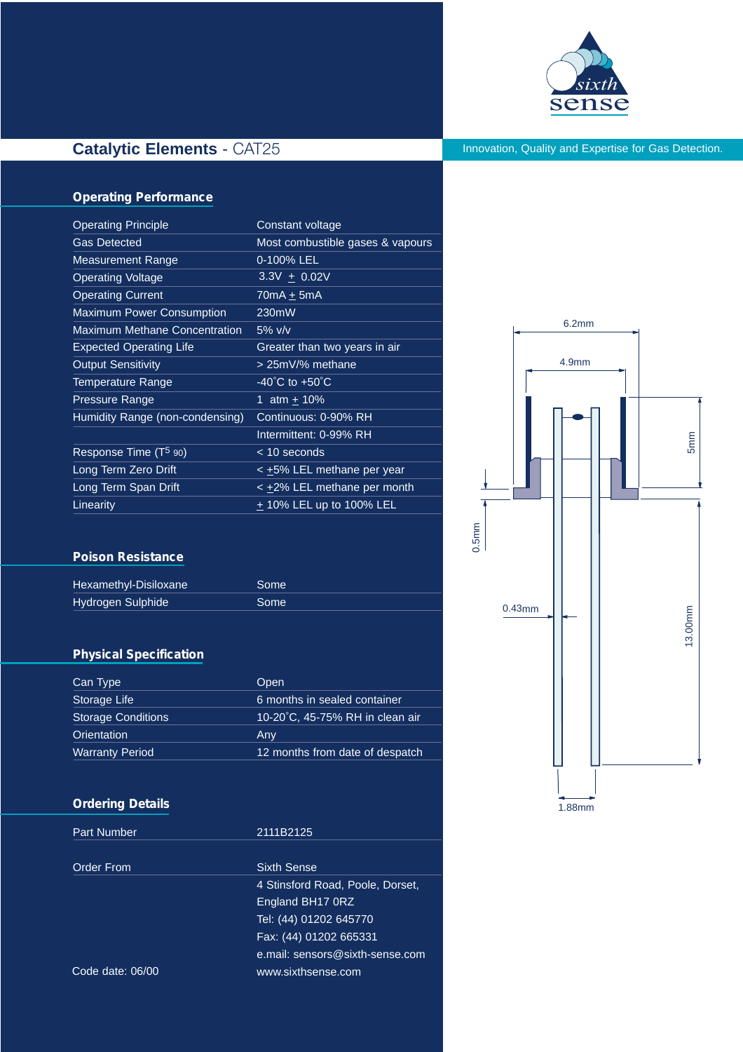

# **Catalytic Elements** - CAT25

Innovation, Quality and Expertise for Gas Detection.

## **Operating Performance**

| <b>Operating Principle</b>           | Constant voltage                   |  |
|--------------------------------------|------------------------------------|--|
| <b>Gas Detected</b>                  | Most combustible gases & vapours   |  |
| <b>Measurement Range</b>             | 0-100% LEL                         |  |
| <b>Operating Voltage</b>             | $3.3V + 0.02V$                     |  |
| <b>Operating Current</b>             | $70mA + 5mA$                       |  |
| <b>Maximum Power Consumption</b>     | 230mW                              |  |
| <b>Maximum Methane Concentration</b> | $5\%$ v/v                          |  |
| <b>Expected Operating Life</b>       | Greater than two years in air      |  |
| <b>Output Sensitivity</b>            | > 25mV/% methane                   |  |
| Temperature Range                    | $-40^{\circ}$ C to $+50^{\circ}$ C |  |
| <b>Pressure Range</b>                | 1 $atm + 10%$                      |  |
| Humidity Range (non-condensing)      | Continuous: 0-90% RH               |  |
|                                      | Intermittent: 0-99% RH             |  |
| Response Time (T <sup>5</sup> 90)    | $<$ 10 seconds                     |  |
| Long Term Zero Drift                 | < ±5% LEL methane per year         |  |
| Long Term Span Drift                 | < +2% LEL methane per month        |  |
| Linearity                            | $+$ 10% LEL up to 100% LEL         |  |

#### **Poison Resistance**

| <b>Hexamethyl-Disiloxane</b> | Some              |
|------------------------------|-------------------|
| <b>Hydrogen Sulphide</b>     | Some <sup>1</sup> |

## **Physical Specification**

| Can Type                  | Open                            |
|---------------------------|---------------------------------|
| Storage Life              | 6 months in sealed container    |
| <b>Storage Conditions</b> | 10-20°C, 45-75% RH in clean air |
| Orientation               | Any                             |
| <b>Warranty Period</b>    | 12 months from date of despatch |

### **Ordering Details**

Part Number 2111B2125